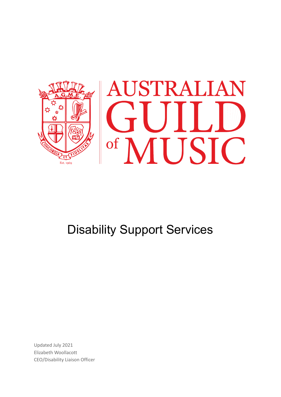

# Disability Support Services

Updated July 2021 Elizabeth Woollacott CEO/Disability Liaison Officer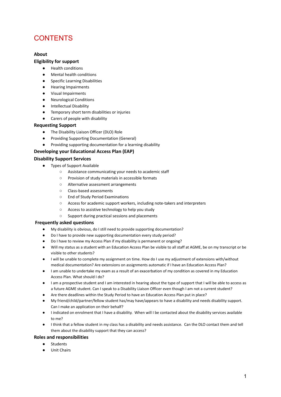### **CONTENTS**

#### **About**

#### **Eligibility for support**

- **Health conditions**
- Mental health conditions
- Specific Learning Disabilities
- Hearing Impairments
- Visual Impairments
- Neurological Conditions
- Intellectual Disability
- Temporary short term disabilities or injuries
- Carers of people with disability

#### **Requesting Support**

- The Disability Liaison Officer (DLO) Role
- Providing Supporting Documentation (General)
- Providing supporting documentation for a learning disability

#### **Developing your Educational Access Plan (EAP)**

#### **Disability Support Services**

- Types of Support Available
	- Assistance communicating your needs to academic staff
	- Provision of study materials in accessible formats
	- Alternative assessment arrangements
	- Class-based assessments
	- End of Study Period Examinations
	- Access for academic support workers, including note-takers and interpreters
	- Access to assistive technology to help you study
	- Support during practical sessions and placements

#### **Frequently asked questions**

- My disability is obvious, do I still need to provide supporting documentation?
- Do I have to provide new supporting documentation every study period?
- Do I have to review my Access Plan if my disability is permanent or ongoing?
- Will my status as a student with an Education Access Plan be visible to all staff at AGME, be on my transcript or be visible to other students?
- I will be unable to complete my assignment on time. How do I use my adjustment of extensions with/without medical documentation? Are extensions on assignments automatic if I have an Education Access Plan?
- I am unable to undertake my exam as a result of an exacerbation of my condition as covered in my Education Access Plan. What should I do?
- I am a prospective student and I am interested in hearing about the type of support that I will be able to access as a future AGME student. Can I speak to a Disability Liaison Officer even though I am not a current student?
- Are there deadlines within the Study Period to have an Education Access Plan put in place?
- My friend/child/partner/fellow student has/may have/appears to have a disability and needs disability support. Can I make an application on their behalf?
- I indicated on enrolment that I have a disability. When will I be contacted about the disability services available to me?
- I think that a fellow student in my class has a disability and needs assistance. Can the DLO contact them and tell them about the disability support that they can access?

#### **Roles and responsibilities**

- **Students**
- Unit Chairs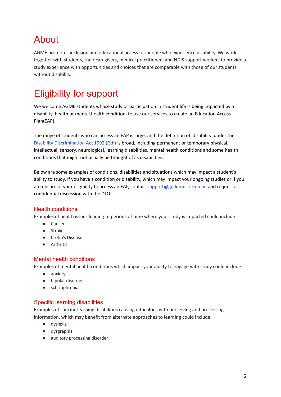# About

AGME promotes inclusion and educational access for people who experience disability. We work together with students, their caregivers, medical practitioners and NDIS support workers to provide a study experience with opportunities and choices that are comparable with those of our students without disability.

# Eligibility for support

We welcome AGME students whose study or participation in student life is being impacted by a disability, health or mental health condition, to use our services to create an Education Access Plan(EAP).

The range of students who can access an EAP is large, and the definition of 'disability' under the Disability [Discrimination](https://www.legislation.gov.au/Details/C2016C00763) Act 1992 (Cth) is broad, including permanent or temporary physical, intellectual, sensory, neurological, learning disabilities, mental health conditions and some health conditions that might not usually be thought of as disabilities.

Below are some examples of conditions, disabilities and situations which may impact a student's ability to study. If you have a condition or disability, which may impact your ongoing studies or if you are unsure of your eligibility to access an EAP, contact [support@guildmusic.edu.au](mailto:support@guildmusic.edu.au) and request a confidential discussion with the DLO.

#### Health conditions

Examples of health issues leading to periods of time where your study is impacted could include:

- Cancer
- Stroke
- Crohn's Disease
- Arthritis

#### Mental health conditions

Examples of mental health conditions which impact your ability to engage with study could include:

- anxiety
- bipolar disorder
- schizophrenia

#### Specific learning disabilities

Examples of specific learning disabilities causing difficulties with perceiving and processing information, which may benefit from alternate approaches to learning could include:

- dyslexia
- dysgraphia
- auditory processing disorder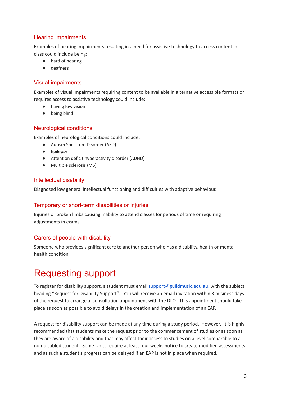#### Hearing impairments

Examples of hearing impairments resulting in a need for assistive technology to access content in class could include being:

- hard of hearing
- deafness

#### Visual impairments

Examples of visual impairments requiring content to be available in alternative accessible formats or requires access to assistive technology could include:

- having low vision
- being blind

#### Neurological conditions

Examples of neurological conditions could include:

- Autism Spectrum Disorder (ASD)
- Epilepsy
- Attention deficit hyperactivity disorder (ADHD)
- Multiple sclerosis (MS).

#### Intellectual disability

Diagnosed low general intellectual functioning and difficulties with adaptive behaviour.

#### Temporary or short-term disabilities or injuries

Injuries or broken limbs causing inability to attend classes for periods of time or requiring adjustments in exams.

#### Carers of people with disability

Someone who provides significant care to another person who has a disability, health or mental health condition.

# Requesting support

To register for disability support, a student must email [support@guildmusic.edu.au](mailto:support@guildmusic.edu.au), with the subject heading "Request for Disability Support". You will receive an email invitation within 3 business days of the request to arrange a consultation appointment with the DLO. This appointment should take place as soon as possible to avoid delays in the creation and implementation of an EAP.

A request for disability support can be made at any time during a study period. However, it is highly recommended that students make the request prior to the commencement of studies or as soon as they are aware of a disability and that may affect their access to studies on a level comparable to a non-disabled student. Some Units require at least four weeks notice to create modified assessments and as such a student's progress can be delayed if an EAP is not in place when required.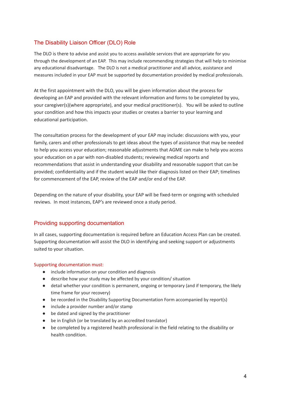#### The Disability Liaison Officer (DLO) Role

The DLO is there to advise and assist you to access available services that are appropriate for you through the development of an EAP. This may include recommending strategies that will help to minimise any educational disadvantage. The DLO is not a medical practitioner and all advice, assistance and measures included in your EAP must be supported by documentation provided by medical professionals.

At the first appointment with the DLO, you will be given information about the process for developing an EAP and provided with the relevant information and forms to be completed by you, your caregiver(s)(where appropriate), and your medical practitioner(s). You will be asked to outline your condition and how this impacts your studies or creates a barrier to your learning and educational participation.

The consultation process for the development of your EAP may include: discussions with you, your family, carers and other professionals to get ideas about the types of assistance that may be needed to help you access your education; reasonable adjustments that AGME can make to help you access your education on a par with non-disabled students; reviewing medical reports and recommendations that assist in understanding your disability and reasonable support that can be provided; confidentiality and if the student would like their diagnosis listed on their EAP; timelines for commencement of the EAP, review of the EAP and/or end of the EAP.

Depending on the nature of your disability, your EAP will be fixed-term or ongoing with scheduled reviews. In most instances, EAP's are reviewed once a study period.

#### Providing supporting documentation

In all cases, supporting documentation is required before an Education Access Plan can be created. Supporting documentation will assist the DLO in identifying and seeking support or adjustments suited to your situation.

#### Supporting documentation must:

- include information on your condition and diagnosis
- describe how your study may be affected by your condition/ situation
- detail whether your condition is permanent, ongoing or temporary (and if temporary, the likely time frame for your recovery)
- be recorded in the Disability Supporting Documentation Form accompanied by report(s)
- include a provider number and/or stamp
- be dated and signed by the practitioner
- be in English (or be translated by an accredited translator)
- be completed by a registered health professional in the field relating to the disability or health condition.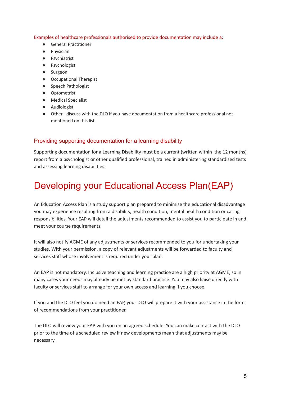Examples of healthcare professionals authorised to provide documentation may include a:

- General Practitioner
- Physician
- Psychiatrist
- Psychologist
- Surgeon
- Occupational Therapist
- Speech Pathologist
- Optometrist
- Medical Specialist
- Audiologist
- Other discuss with the DLO if you have documentation from a healthcare professional not mentioned on this list.

#### Providing supporting documentation for a learning disability

Supporting documentation for a Learning Disability must be a current (written within the 12 months) report from a psychologist or other qualified professional, trained in administering standardised tests and assessing learning disabilities.

## Developing your Educational Access Plan(EAP)

An Education Access Plan is a study support plan prepared to minimise the educational disadvantage you may experience resulting from a disability, health condition, mental health condition or caring responsibilities. Your EAP will detail the adjustments recommended to assist you to participate in and meet your course requirements.

It will also notify AGME of any adjustments or services recommended to you for undertaking your studies. With your permission, a copy of relevant adjustments will be forwarded to faculty and services staff whose involvement is required under your plan.

An EAP is not mandatory. Inclusive teaching and learning practice are a high priority at AGME, so in many cases your needs may already be met by standard practice. You may also liaise directly with faculty or services staff to arrange for your own access and learning if you choose.

If you and the DLO feel you do need an EAP, your DLO will prepare it with your assistance in the form of recommendations from your practitioner.

The DLO will review your EAP with you on an agreed schedule. You can make contact with the DLO prior to the time of a scheduled review if new developments mean that adjustments may be necessary.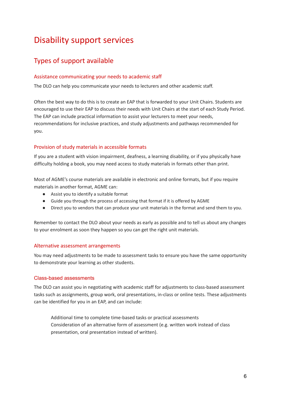## Disability support services

### Types of support available

#### Assistance communicating your needs to academic staff

The DLO can help you communicate your needs to lecturers and other academic staff.

Often the best way to do this is to create an EAP that is forwarded to your Unit Chairs. Students are encouraged to use their EAP to discuss their needs with Unit Chairs at the start of each Study Period. The EAP can include practical information to assist your lecturers to meet your needs, recommendations for inclusive practices, and study adjustments and pathways recommended for you.

#### Provision of study materials in accessible formats

If you are a student with vision impairment, deafness, a learning disability, or if you physically have difficulty holding a book, you may need access to study materials in formats other than print.

Most of AGME's course materials are available in electronic and online formats, but if you require materials in another format, AGME can:

- Assist you to identify a suitable format
- Guide you through the process of accessing that format if it is offered by AGME
- Direct you to vendors that can produce your unit materials in the format and send them to you.

Remember to contact the DLO about your needs as early as possible and to tell us about any changes to your enrolment as soon they happen so you can get the right unit materials.

#### Alternative assessment arrangements

You may need adjustments to be made to assessment tasks to ensure you have the same opportunity to demonstrate your learning as other students.

#### Class-based assessments

The DLO can assist you in negotiating with academic staff for adjustments to class-based assessment tasks such as assignments, group work, oral presentations, in-class or online tests. These adjustments can be identified for you in an EAP, and can include:

Additional time to complete time-based tasks or practical assessments Consideration of an alternative form of assessment (e.g. written work instead of class presentation, oral presentation instead of written).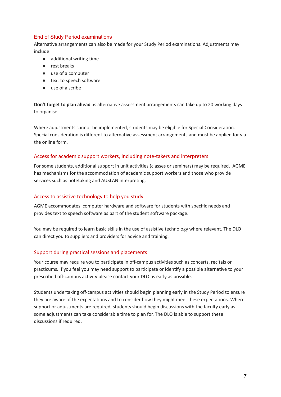#### End of Study Period examinations

Alternative arrangements can also be made for your Study Period examinations. Adjustments may include:

- additional writing time
- rest breaks
- use of a computer
- text to speech software
- use of a scribe

**Don't forget to plan ahead** as alternative assessment arrangements can take up to 20 working days to organise.

Where adjustments cannot be implemented, students may be eligible for Special Consideration. Special consideration is different to alternative assessment arrangements and must be applied for via the online form.

#### Access for academic support workers, including note-takers and interpreters

For some students, additional support in unit activities (classes or seminars) may be required. AGME has mechanisms for the accommodation of academic support workers and those who provide services such as notetaking and AUSLAN interpreting.

#### Access to assistive technology to help you study

AGME accommodates computer hardware and software for students with specific needs and provides text to speech software as part of the student software package.

You may be required to learn basic skills in the use of assistive technology where relevant. The DLO can direct you to suppliers and providers for advice and training.

#### Support during practical sessions and placements

Your course may require you to participate in off-campus activities such as concerts, recitals or practicums. If you feel you may need support to participate or identify a possible alternative to your prescribed off-campus activity please contact your DLO as early as possible.

Students undertaking off-campus activities should begin planning early in the Study Period to ensure they are aware of the expectations and to consider how they might meet these expectations. Where support or adjustments are required, students should begin discussions with the faculty early as some adjustments can take considerable time to plan for. The DLO is able to support these discussions if required.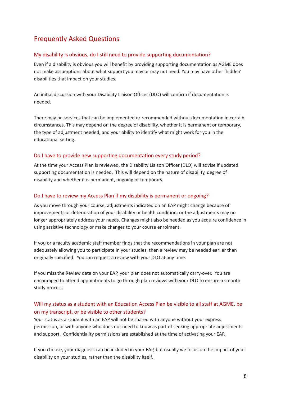### Frequently Asked Questions

#### My disability is obvious, do I still need to provide supporting documentation?

Even if a disability is obvious you will benefit by providing supporting documentation as AGME does not make assumptions about what support you may or may not need. You may have other 'hidden' disabilities that impact on your studies.

An initial discussion with your Disability Liaison Officer (DLO) will confirm if documentation is needed.

There may be services that can be implemented or recommended without documentation in certain circumstances. This may depend on the degree of disability, whether it is permanent or temporary, the type of adjustment needed, and your ability to identify what might work for you in the educational setting.

#### Do I have to provide new supporting documentation every study period?

At the time your Access Plan is reviewed, the Disability Liaison Officer (DLO) will advise if updated supporting documentation is needed. This will depend on the nature of disability, degree of disability and whether it is permanent, ongoing or temporary.

#### Do I have to review my Access Plan if my disability is permanent or ongoing?

As you move through your course, adjustments indicated on an EAP might change because of improvements or deterioration of your disability or health condition, or the adjustments may no longer appropriately address your needs. Changes might also be needed as you acquire confidence in using assistive technology or make changes to your course enrolment.

If you or a faculty academic staff member finds that the recommendations in your plan are not adequately allowing you to participate in your studies, then a review may be needed earlier than originally specified. You can request a review with your DLO at any time.

If you miss the Review date on your EAP, your plan does not automatically carry-over. You are encouraged to attend appointments to go through plan reviews with your DLO to ensure a smooth study process.

#### Will my status as a student with an Education Access Plan be visible to all staff at AGME, be on my transcript, or be visible to other students?

Your status as a student with an EAP will not be shared with anyone without your express permission, or with anyone who does not need to know as part of seeking appropriate adjustments and support. Confidentiality permissions are established at the time of activating your EAP.

If you choose, your diagnosis can be included in your EAP, but usually we focus on the impact of your disability on your studies, rather than the disability itself.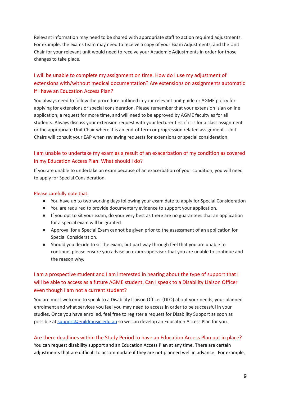Relevant information may need to be shared with appropriate staff to action required adjustments. For example, the exams team may need to receive a copy of your Exam Adjustments, and the Unit Chair for your relevant unit would need to receive your Academic Adjustments in order for those changes to take place.

#### I will be unable to complete my assignment on time. How do I use my adjustment of extensions with/without medical documentation? Are extensions on assignments automatic if I have an Education Access Plan?

You always need to follow the procedure outlined in your relevant unit guide or AGME policy for applying for extensions or special consideration. Please remember that your extension is an online application, a request for more time, and will need to be approved by AGME faculty as for all students. Always discuss your extension request with your lecturer first if it is for a class assignment or the appropriate Unit Chair where it is an end-of-term or progression related assignment . Unit Chairs will consult your EAP when reviewing requests for extensions or special consideration.

#### I am unable to undertake my exam as a result of an exacerbation of my condition as covered in my Education Access Plan. What should I do?

If you are unable to undertake an exam because of an exacerbation of your condition, you will need to apply for Special Consideration.

#### Please carefully note that:

- You have up to two working days following your exam date to apply for Special Consideration
- You are required to provide documentary evidence to support your application.
- If you opt to sit your exam, do your very best as there are no guarantees that an application for a special exam will be granted.
- Approval for a Special Exam cannot be given prior to the assessment of an application for Special Consideration.
- Should you decide to sit the exam, but part way through feel that you are unable to continue, please ensure you advise an exam supervisor that you are unable to continue and the reason why.

#### I am a prospective student and I am interested in hearing about the type of support that I will be able to access as a future AGME student. Can I speak to a Disability Liaison Officer even though I am not a current student?

You are most welcome to speak to a Disability Liaison Officer (DLO) about your needs, your planned enrolment and what services you feel you may need to access in order to be successful in your studies. Once you have enrolled, feel free to register a request for Disability Support as soon as possible at [support@guildmusic.edu.au](mailto:support@guildmusic.edu.au) so we can develop an Education Access Plan for you.

#### Are there deadlines within the Study Period to have an Education Access Plan put in place?

You can request disability support and an Education Access Plan at any time. There are certain adjustments that are difficult to accommodate if they are not planned well in advance. For example,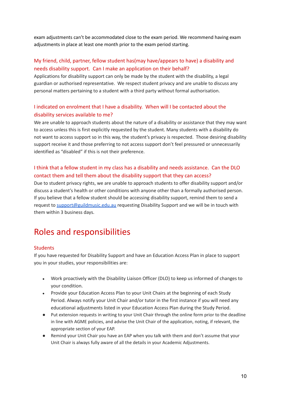exam adjustments can't be accommodated close to the exam period. We recommend having exam adjustments in place at least one month prior to the exam period starting.

#### My friend, child, partner, fellow student has(may have/appears to have) a disability and needs disability support. Can I make an application on their behalf?

Applications for disability support can only be made by the student with the disability, a legal guardian or authorised representative. We respect student privacy and are unable to discuss any personal matters pertaining to a student with a third party without formal authorisation.

#### I indicated on enrolment that I have a disability. When will I be contacted about the disability services available to me?

We are unable to approach students about the nature of a disability or assistance that they may want to access unless this is first explicitly requested by the student. Many students with a disability do not want to access support so in this way, the student's privacy is respected. Those desiring disability support receive it and those preferring to not access support don't feel pressured or unnecessarily identified as "disabled" if this is not their preference.

#### I think that a fellow student in my class has a disability and needs assistance. Can the DLO contact them and tell them about the disability support that they can access?

Due to student privacy rights, we are unable to approach students to offer disability support and/or discuss a student's health or other conditions with anyone other than a formally authorised person. If you believe that a fellow student should be accessing disability support, remind them to send a request to [support@guildmusic.edu.au](mailto:support@guildmusic.edu.au) requesting Disability Support and we will be in touch with them within 3 business days.

## Roles and responsibilities

#### **Students**

If you have requested for Disability Support and have an Education Access Plan in place to support you in your studies, your responsibilities are:

- Work proactively with the Disability Liaison Officer (DLO) to keep us informed of changes to your condition.
- Provide your Education Access Plan to your Unit Chairs at the beginning of each Study Period. Always notify your Unit Chair and/or tutor in the first instance if you will need any educational adjustments listed in your Education Access Plan during the Study Period.
- Put extension requests in writing to your Unit Chair through the online form prior to the deadline in line with AGME policies, and advise the Unit Chair of the application, noting, if relevant, the appropriate section of your EAP.
- Remind your Unit Chair you have an EAP when you talk with them and don't assume that your Unit Chair is always fully aware of all the details in your Academic Adjustments.